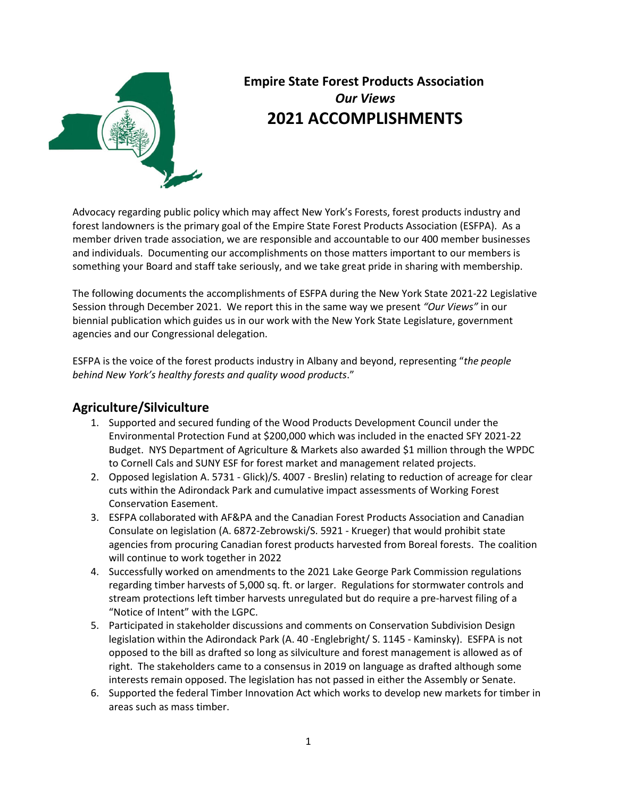

# **Empire State Forest Products Association** *Our Views* **2021 ACCOMPLISHMENTS**

Advocacy regarding public policy which may affect New York's Forests, forest products industry and forest landowners is the primary goal of the Empire State Forest Products Association (ESFPA). As a member driven trade association, we are responsible and accountable to our 400 member businesses and individuals. Documenting our accomplishments on those matters important to our members is something your Board and staff take seriously, and we take great pride in sharing with membership.

The following documents the accomplishments of ESFPA during the New York State 2021-22 Legislative Session through December 2021. We report this in the same way we present *"Our Views"* in our biennial publication which guides us in our work with the New York State Legislature, government agencies and our Congressional delegation.

ESFPA is the voice of the forest products industry in Albany and beyond, representing "*the people behind New York's healthy forests and quality wood products*."

# **Agriculture/Silviculture**

- 1. Supported and secured funding of the Wood Products Development Council under the Environmental Protection Fund at \$200,000 which was included in the enacted SFY 2021-22 Budget. NYS Department of Agriculture & Markets also awarded \$1 million through the WPDC to Cornell Cals and SUNY ESF for forest market and management related projects.
- 2. Opposed legislation A. 5731 Glick)/S. 4007 Breslin) relating to reduction of acreage for clear cuts within the Adirondack Park and cumulative impact assessments of Working Forest Conservation Easement.
- 3. ESFPA collaborated with AF&PA and the Canadian Forest Products Association and Canadian Consulate on legislation (A. 6872-Zebrowski/S. 5921 - Krueger) that would prohibit state agencies from procuring Canadian forest products harvested from Boreal forests. The coalition will continue to work together in 2022
- 4. Successfully worked on amendments to the 2021 Lake George Park Commission regulations regarding timber harvests of 5,000 sq. ft. or larger. Regulations for stormwater controls and stream protections left timber harvests unregulated but do require a pre-harvest filing of a "Notice of Intent" with the LGPC.
- 5. Participated in stakeholder discussions and comments on Conservation Subdivision Design legislation within the Adirondack Park (A. 40 -Englebright/ S. 1145 - Kaminsky). ESFPA is not opposed to the bill as drafted so long as silviculture and forest management is allowed as of right. The stakeholders came to a consensus in 2019 on language as drafted although some interests remain opposed. The legislation has not passed in either the Assembly or Senate.
- 6. Supported the federal Timber Innovation Act which works to develop new markets for timber in areas such as mass timber.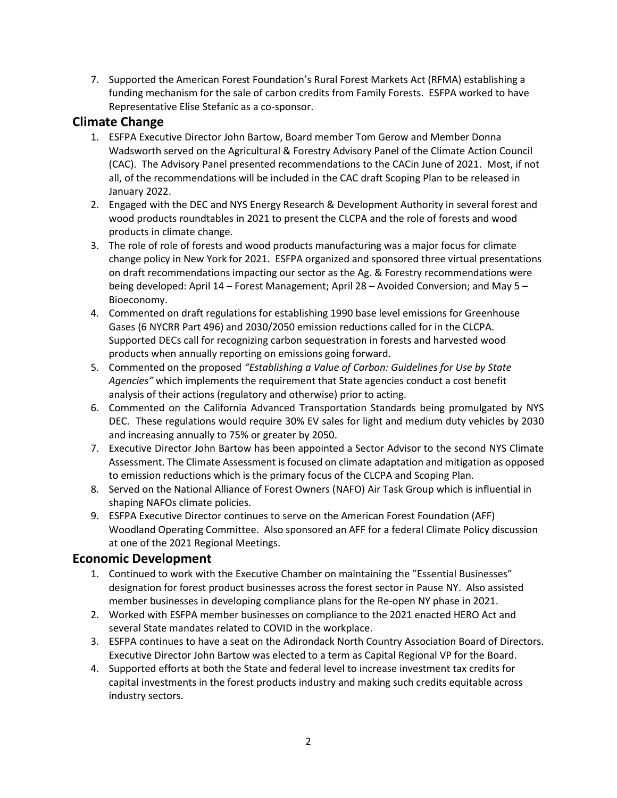7. Supported the American Forest Foundation's Rural Forest Markets Act (RFMA) establishing a funding mechanism for the sale of carbon credits from Family Forests. ESFPA worked to have Representative Elise Stefanic as a co-sponsor.

# **Climate Change**

- 1. ESFPA Executive Director John Bartow, Board member Tom Gerow and Member Donna Wadsworth served on the Agricultural & Forestry Advisory Panel of the Climate Action Council (CAC). The Advisory Panel presented recommendations to the CACin June of 2021. Most, if not all, of the recommendations will be included in the CAC draft Scoping Plan to be released in January 2022.
- 2. Engaged with the DEC and NYS Energy Research & Development Authority in several forest and wood products roundtables in 2021 to present the CLCPA and the role of forests and wood products in climate change.
- 3. The role of role of forests and wood products manufacturing was a major focus for climate change policy in New York for 2021. ESFPA organized and sponsored three virtual presentations on draft recommendations impacting our sector as the Ag. & Forestry recommendations were being developed: April 14 – Forest Management; April 28 – Avoided Conversion; and May 5 – Bioeconomy.
- 4. Commented on draft regulations for establishing 1990 base level emissions for Greenhouse Gases (6 NYCRR Part 496) and 2030/2050 emission reductions called for in the CLCPA. Supported DECs call for recognizing carbon sequestration in forests and harvested wood products when annually reporting on emissions going forward.
- 5. Commented on the proposed *"Establishing a Value of Carbon: Guidelines for Use by State Agencies"* which implements the requirement that State agencies conduct a cost benefit analysis of their actions (regulatory and otherwise) prior to acting.
- 6. Commented on the California Advanced Transportation Standards being promulgated by NYS DEC. These regulations would require 30% EV sales for light and medium duty vehicles by 2030 and increasing annually to 75% or greater by 2050.
- 7. Executive Director John Bartow has been appointed a Sector Advisor to the second NYS Climate Assessment. The Climate Assessment is focused on climate adaptation and mitigation as opposed to emission reductions which is the primary focus of the CLCPA and Scoping Plan.
- 8. Served on the National Alliance of Forest Owners (NAFO) Air Task Group which is influential in shaping NAFOs climate policies.
- 9. ESFPA Executive Director continues to serve on the American Forest Foundation (AFF) Woodland Operating Committee. Also sponsored an AFF for a federal Climate Policy discussion at one of the 2021 Regional Meetings.

# **Economic Development**

- 1. Continued to work with the Executive Chamber on maintaining the "Essential Businesses" designation for forest product businesses across the forest sector in Pause NY. Also assisted member businesses in developing compliance plans for the Re-open NY phase in 2021.
- 2. Worked with ESFPA member businesses on compliance to the 2021 enacted HERO Act and several State mandates related to COVID in the workplace.
- 3. ESFPA continues to have a seat on the Adirondack North Country Association Board of Directors. Executive Director John Bartow was elected to a term as Capital Regional VP for the Board.
- 4. Supported efforts at both the State and federal level to increase investment tax credits for capital investments in the forest products industry and making such credits equitable across industry sectors.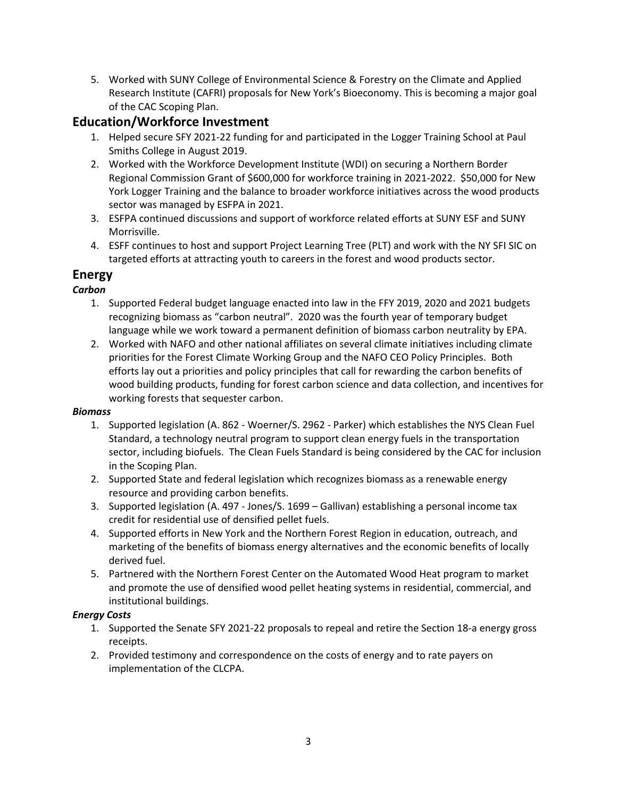5. Worked with SUNY College of Environmental Science & Forestry on the Climate and Applied Research Institute (CAFRI) proposals for New York's Bioeconomy. This is becoming a major goal of the CAC Scoping Plan.

# **Education/Workforce Investment**

- 1. Helped secure SFY 2021-22 funding for and participated in the Logger Training School at Paul Smiths College in August 2019.
- 2. Worked with the Workforce Development Institute (WDI) on securing a Northern Border Regional Commission Grant of \$600,000 for workforce training in 2021-2022. \$50,000 for New York Logger Training and the balance to broader workforce initiatives across the wood products sector was managed by ESFPA in 2021.
- 3. ESFPA continued discussions and support of workforce related efforts at SUNY ESF and SUNY Morrisville.
- 4. ESFF continues to host and support Project Learning Tree (PLT) and work with the NY SFI SIC on targeted efforts at attracting youth to careers in the forest and wood products sector.

# **Energy**

### *Carbon*

- 1. Supported Federal budget language enacted into law in the FFY 2019, 2020 and 2021 budgets recognizing biomass as "carbon neutral". 2020 was the fourth year of temporary budget language while we work toward a permanent definition of biomass carbon neutrality by EPA.
- 2. Worked with NAFO and other national affiliates on several climate initiatives including climate priorities for the Forest Climate Working Group and the NAFO CEO Policy Principles. Both efforts lay out a priorities and policy principles that call for rewarding the carbon benefits of wood building products, funding for forest carbon science and data collection, and incentives for working forests that sequester carbon.

#### *Biomass*

- 1. Supported legislation (A. 862 Woerner/S. 2962 Parker) which establishes the NYS Clean Fuel Standard, a technology neutral program to support clean energy fuels in the transportation sector, including biofuels. The Clean Fuels Standard is being considered by the CAC for inclusion in the Scoping Plan.
- 2. Supported State and federal legislation which recognizes biomass as a renewable energy resource and providing carbon benefits.
- 3. Supported legislation (A. 497 Jones/S. 1699 Gallivan) establishing a personal income tax credit for residential use of densified pellet fuels.
- 4. Supported efforts in New York and the Northern Forest Region in education, outreach, and marketing of the benefits of biomass energy alternatives and the economic benefits of locally derived fuel.
- 5. Partnered with the Northern Forest Center on the Automated Wood Heat program to market and promote the use of densified wood pellet heating systems in residential, commercial, and institutional buildings.

#### *Energy Costs*

- 1. Supported the Senate SFY 2021-22 proposals to repeal and retire the Section 18-a energy gross receipts.
- 2. Provided testimony and correspondence on the costs of energy and to rate payers on implementation of the CLCPA.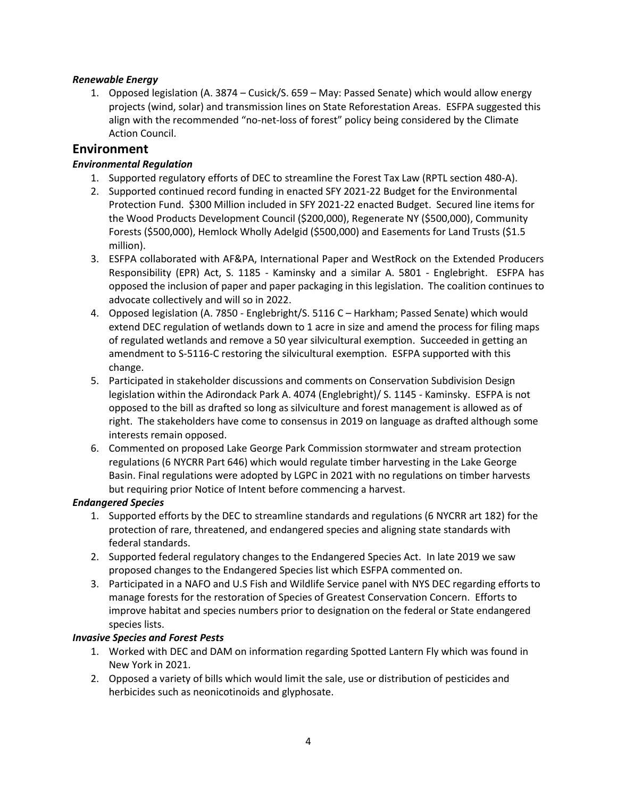#### *Renewable Energy*

1. Opposed legislation (A. 3874 – Cusick/S. 659 – May: Passed Senate) which would allow energy projects (wind, solar) and transmission lines on State Reforestation Areas. ESFPA suggested this align with the recommended "no-net-loss of forest" policy being considered by the Climate Action Council.

### **Environment**

#### *Environmental Regulation*

- 1. Supported regulatory efforts of DEC to streamline the Forest Tax Law (RPTL section 480-A).
- 2. Supported continued record funding in enacted SFY 2021-22 Budget for the Environmental Protection Fund. \$300 Million included in SFY 2021-22 enacted Budget. Secured line items for the Wood Products Development Council (\$200,000), Regenerate NY (\$500,000), Community Forests (\$500,000), Hemlock Wholly Adelgid (\$500,000) and Easements for Land Trusts (\$1.5 million).
- 3. ESFPA collaborated with AF&PA, International Paper and WestRock on the Extended Producers Responsibility (EPR) Act, S. 1185 - Kaminsky and a similar A. 5801 - Englebright. ESFPA has opposed the inclusion of paper and paper packaging in this legislation. The coalition continues to advocate collectively and will so in 2022.
- 4. Opposed legislation (A. 7850 Englebright/S. 5116 C Harkham; Passed Senate) which would extend DEC regulation of wetlands down to 1 acre in size and amend the process for filing maps of regulated wetlands and remove a 50 year silvicultural exemption. Succeeded in getting an amendment to S-5116-C restoring the silvicultural exemption. ESFPA supported with this change.
- 5. Participated in stakeholder discussions and comments on Conservation Subdivision Design legislation within the Adirondack Park A. 4074 (Englebright)/ S. 1145 - Kaminsky. ESFPA is not opposed to the bill as drafted so long as silviculture and forest management is allowed as of right. The stakeholders have come to consensus in 2019 on language as drafted although some interests remain opposed.
- 6. Commented on proposed Lake George Park Commission stormwater and stream protection regulations (6 NYCRR Part 646) which would regulate timber harvesting in the Lake George Basin. Final regulations were adopted by LGPC in 2021 with no regulations on timber harvests but requiring prior Notice of Intent before commencing a harvest.

#### *Endangered Species*

- 1. Supported efforts by the DEC to streamline standards and regulations (6 NYCRR art 182) for the protection of rare, threatened, and endangered species and aligning state standards with federal standards.
- 2. Supported federal regulatory changes to the Endangered Species Act. In late 2019 we saw proposed changes to the Endangered Species list which ESFPA commented on.
- 3. Participated in a NAFO and U.S Fish and Wildlife Service panel with NYS DEC regarding efforts to manage forests for the restoration of Species of Greatest Conservation Concern. Efforts to improve habitat and species numbers prior to designation on the federal or State endangered species lists.

#### *Invasive Species and Forest Pests*

- 1. Worked with DEC and DAM on information regarding Spotted Lantern Fly which was found in New York in 2021.
- 2. Opposed a variety of bills which would limit the sale, use or distribution of pesticides and herbicides such as neonicotinoids and glyphosate.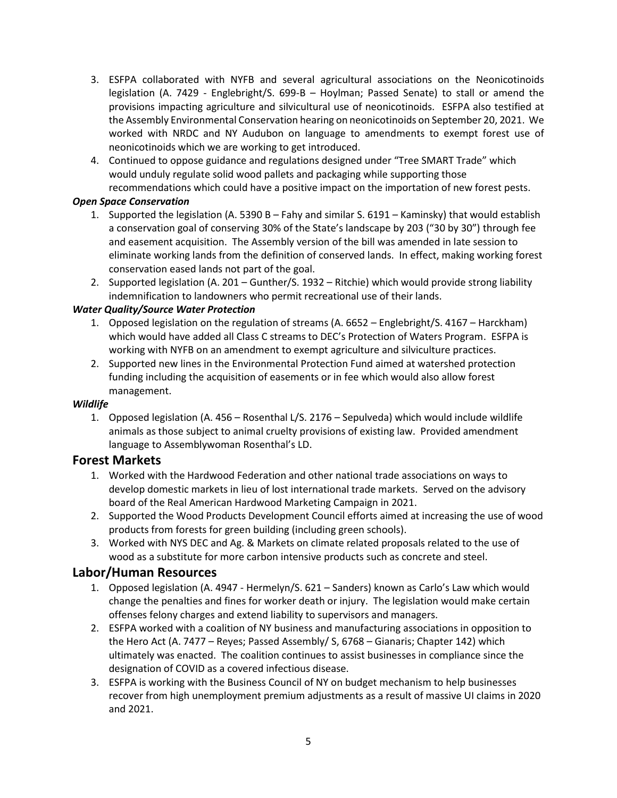- 3. ESFPA collaborated with NYFB and several agricultural associations on the Neonicotinoids legislation (A. 7429 - Englebright/S. 699-B – Hoylman; Passed Senate) to stall or amend the provisions impacting agriculture and silvicultural use of neonicotinoids. ESFPA also testified at the Assembly Environmental Conservation hearing on neonicotinoids on September 20, 2021. We worked with NRDC and NY Audubon on language to amendments to exempt forest use of neonicotinoids which we are working to get introduced.
- 4. Continued to oppose guidance and regulations designed under "Tree SMART Trade" which would unduly regulate solid wood pallets and packaging while supporting those recommendations which could have a positive impact on the importation of new forest pests.

#### *Open Space Conservation*

- 1. Supported the legislation (A. 5390 B Fahy and similar S. 6191 Kaminsky) that would establish a conservation goal of conserving 30% of the State's landscape by 203 ("30 by 30") through fee and easement acquisition. The Assembly version of the bill was amended in late session to eliminate working lands from the definition of conserved lands. In effect, making working forest conservation eased lands not part of the goal.
- 2. Supported legislation (A. 201 Gunther/S. 1932 Ritchie) which would provide strong liability indemnification to landowners who permit recreational use of their lands.

#### *Water Quality/Source Water Protection*

- 1. Opposed legislation on the regulation of streams (A. 6652 Englebright/S. 4167 Harckham) which would have added all Class C streams to DEC's Protection of Waters Program. ESFPA is working with NYFB on an amendment to exempt agriculture and silviculture practices.
- 2. Supported new lines in the Environmental Protection Fund aimed at watershed protection funding including the acquisition of easements or in fee which would also allow forest management.

#### *Wildlife*

1. Opposed legislation (A. 456 – Rosenthal L/S. 2176 – Sepulveda) which would include wildlife animals as those subject to animal cruelty provisions of existing law. Provided amendment language to Assemblywoman Rosenthal's LD.

### **Forest Markets**

- 1. Worked with the Hardwood Federation and other national trade associations on ways to develop domestic markets in lieu of lost international trade markets. Served on the advisory board of the Real American Hardwood Marketing Campaign in 2021.
- 2. Supported the Wood Products Development Council efforts aimed at increasing the use of wood products from forests for green building (including green schools).
- 3. Worked with NYS DEC and Ag. & Markets on climate related proposals related to the use of wood as a substitute for more carbon intensive products such as concrete and steel.

### **Labor/Human Resources**

- 1. Opposed legislation (A. 4947 Hermelyn/S. 621 Sanders) known as Carlo's Law which would change the penalties and fines for worker death or injury. The legislation would make certain offenses felony charges and extend liability to supervisors and managers.
- 2. ESFPA worked with a coalition of NY business and manufacturing associations in opposition to the Hero Act (A. 7477 – Reyes; Passed Assembly/ S, 6768 – Gianaris; Chapter 142) which ultimately was enacted. The coalition continues to assist businesses in compliance since the designation of COVID as a covered infectious disease.
- 3. ESFPA is working with the Business Council of NY on budget mechanism to help businesses recover from high unemployment premium adjustments as a result of massive UI claims in 2020 and 2021.